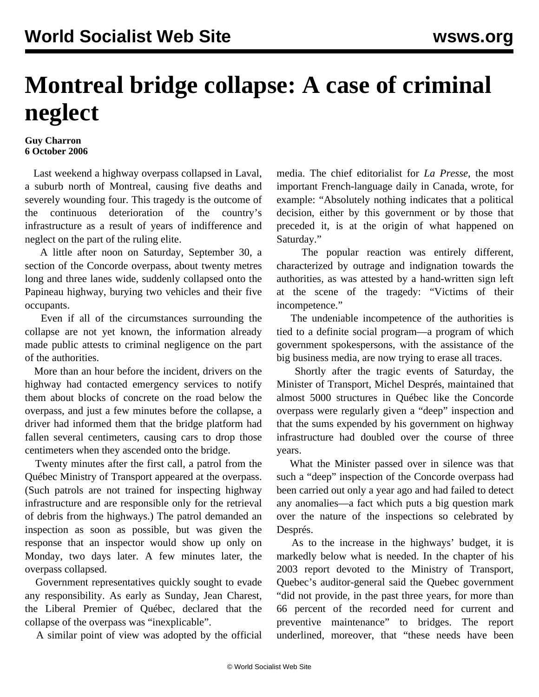## **Montreal bridge collapse: A case of criminal neglect**

## **Guy Charron 6 October 2006**

 Last weekend a highway overpass collapsed in Laval, a suburb north of Montreal, causing five deaths and severely wounding four. This tragedy is the outcome of the continuous deterioration of the country's infrastructure as a result of years of indifference and neglect on the part of the ruling elite.

 A little after noon on Saturday, September 30, a section of the Concorde overpass, about twenty metres long and three lanes wide, suddenly collapsed onto the Papineau highway, burying two vehicles and their five occupants.

 Even if all of the circumstances surrounding the collapse are not yet known, the information already made public attests to criminal negligence on the part of the authorities.

 More than an hour before the incident, drivers on the highway had contacted emergency services to notify them about blocks of concrete on the road below the overpass, and just a few minutes before the collapse, a driver had informed them that the bridge platform had fallen several centimeters, causing cars to drop those centimeters when they ascended onto the bridge.

 Twenty minutes after the first call, a patrol from the Québec Ministry of Transport appeared at the overpass. (Such patrols are not trained for inspecting highway infrastructure and are responsible only for the retrieval of debris from the highways.) The patrol demanded an inspection as soon as possible, but was given the response that an inspector would show up only on Monday, two days later. A few minutes later, the overpass collapsed.

 Government representatives quickly sought to evade any responsibility. As early as Sunday, Jean Charest, the Liberal Premier of Québec, declared that the collapse of the overpass was "inexplicable".

A similar point of view was adopted by the official

media. The chief editorialist for *La Presse*, the most important French-language daily in Canada, wrote, for example: "Absolutely nothing indicates that a political decision, either by this government or by those that preceded it, is at the origin of what happened on Saturday."

 The popular reaction was entirely different, characterized by outrage and indignation towards the authorities, as was attested by a hand-written sign left at the scene of the tragedy: "Victims of their incompetence."

 The undeniable incompetence of the authorities is tied to a definite social program—a program of which government spokespersons, with the assistance of the big business media, are now trying to erase all traces.

 Shortly after the tragic events of Saturday, the Minister of Transport, Michel Després, maintained that almost 5000 structures in Québec like the Concorde overpass were regularly given a "deep" inspection and that the sums expended by his government on highway infrastructure had doubled over the course of three years.

 What the Minister passed over in silence was that such a "deep" inspection of the Concorde overpass had been carried out only a year ago and had failed to detect any anomalies—a fact which puts a big question mark over the nature of the inspections so celebrated by Després.

 As to the increase in the highways' budget, it is markedly below what is needed. In the chapter of his 2003 report devoted to the Ministry of Transport, Quebec's auditor-general said the Quebec government "did not provide, in the past three years, for more than 66 percent of the recorded need for current and preventive maintenance" to bridges. The report underlined, moreover, that "these needs have been